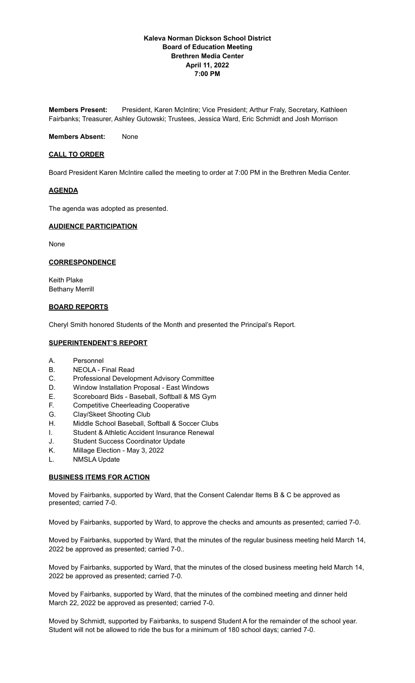# **Kaleva Norman Dickson School District Board of Education Meeting Brethren Media Center April 11, 2022 7:00 PM**

**Members Present:** President, Karen McIntire; Vice President; Arthur Fraly, Secretary, Kathleen Fairbanks; Treasurer, Ashley Gutowski; Trustees, Jessica Ward, Eric Schmidt and Josh Morrison

**Members Absent:** None

### **CALL TO ORDER**

Board President Karen McIntire called the meeting to order at 7:00 PM in the Brethren Media Center.

#### **AGENDA**

The agenda was adopted as presented.

#### **AUDIENCE PARTICIPATION**

None

#### **CORRESPONDENCE**

Keith Plake Bethany Merrill

# **BOARD REPORTS**

Cheryl Smith honored Students of the Month and presented the Principal's Report.

### **SUPERINTENDENT'S REPORT**

- A. Personnel
- B. NEOLA Final Read
- C. Professional Development Advisory Committee
- D. Window Installation Proposal East Windows
- E. Scoreboard Bids Baseball, Softball & MS Gym
- F. Competitive Cheerleading Cooperative
- G. Clay/Skeet Shooting Club
- H. Middle School Baseball, Softball & Soccer Clubs
- I. Student & Athletic Accident Insurance Renewal
- J. Student Success Coordinator Update
- K. Millage Election May 3, 2022
- L. NMSLA Update

# **BUSINESS ITEMS FOR ACTION**

Moved by Fairbanks, supported by Ward, that the Consent Calendar Items B & C be approved as presented; carried 7-0.

Moved by Fairbanks, supported by Ward, to approve the checks and amounts as presented; carried 7-0.

Moved by Fairbanks, supported by Ward, that the minutes of the regular business meeting held March 14, 2022 be approved as presented; carried 7-0..

Moved by Fairbanks, supported by Ward, that the minutes of the closed business meeting held March 14, 2022 be approved as presented; carried 7-0.

Moved by Fairbanks, supported by Ward, that the minutes of the combined meeting and dinner held March 22, 2022 be approved as presented; carried 7-0.

Moved by Schmidt, supported by Fairbanks, to suspend Student A for the remainder of the school year. Student will not be allowed to ride the bus for a minimum of 180 school days; carried 7-0.